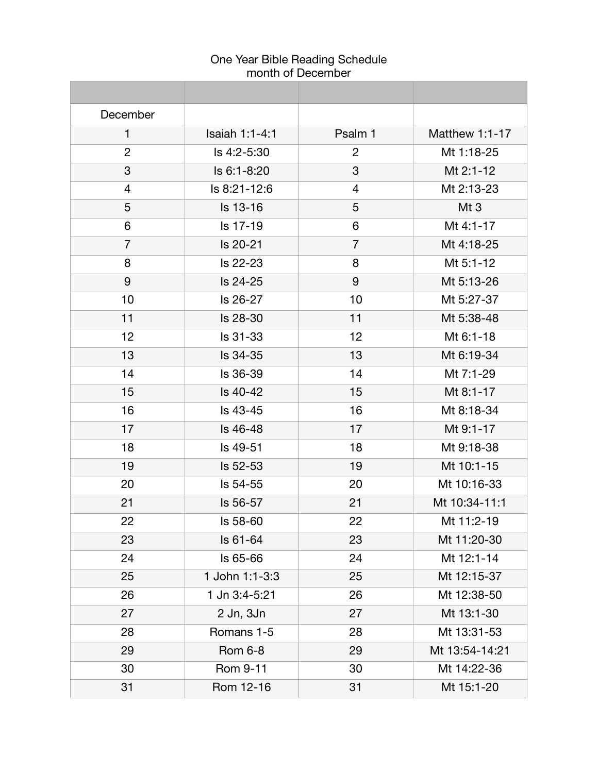| December       |                 |                |                |
|----------------|-----------------|----------------|----------------|
| $\mathbf{1}$   | Isaiah 1:1-4:1  | Psalm 1        | Matthew 1:1-17 |
| $\overline{2}$ | Is 4:2-5:30     | $\overline{2}$ | Mt 1:18-25     |
| 3              | Is 6:1-8:20     | 3              | Mt 2:1-12      |
| 4              | ls 8:21-12:6    | $\overline{4}$ | Mt 2:13-23     |
| 5              | Is 13-16        | 5              | Mt 3           |
| 6              | Is 17-19        | 6              | Mt 4:1-17      |
| $\overline{7}$ | Is 20-21        | $\overline{7}$ | Mt 4:18-25     |
| 8              | Is 22-23        | 8              | Mt 5:1-12      |
| 9              | Is 24-25        | 9              | Mt 5:13-26     |
| 10             | Is 26-27        | 10             | Mt 5:27-37     |
| 11             | Is 28-30        | 11             | Mt 5:38-48     |
| 12             | Is 31-33        | 12             | Mt 6:1-18      |
| 13             | Is 34-35        | 13             | Mt 6:19-34     |
| 14             | Is 36-39        | 14             | Mt 7:1-29      |
| 15             | Is 40-42        | 15             | Mt 8:1-17      |
| 16             | Is 43-45        | 16             | Mt 8:18-34     |
| 17             | Is 46-48        | 17             | Mt 9:1-17      |
| 18             | Is 49-51        | 18             | Mt 9:18-38     |
| 19             | Is 52-53        | 19             | Mt 10:1-15     |
| 20             | Is 54-55        | 20             | Mt 10:16-33    |
| 21             | Is 56-57        | 21             | Mt 10:34-11:1  |
| 22             | <b>ls 58-60</b> | 22             | Mt 11:2-19     |
| 23             | Is 61-64        | 23             | Mt 11:20-30    |
| 24             | Is 65-66        | 24             | Mt 12:1-14     |
| 25             | 1 John 1:1-3:3  | 25             | Mt 12:15-37    |
| 26             | 1 Jn 3:4-5:21   | 26             | Mt 12:38-50    |
| 27             | 2 Jn, 3Jn       | 27             | Mt 13:1-30     |
| 28             | Romans 1-5      | 28             | Mt 13:31-53    |
| 29             | <b>Rom 6-8</b>  | 29             | Mt 13:54-14:21 |
| 30             | Rom 9-11        | 30             | Mt 14:22-36    |
| 31             | Rom 12-16       | 31             | Mt 15:1-20     |

# One Year Bible Reading Schedule month of December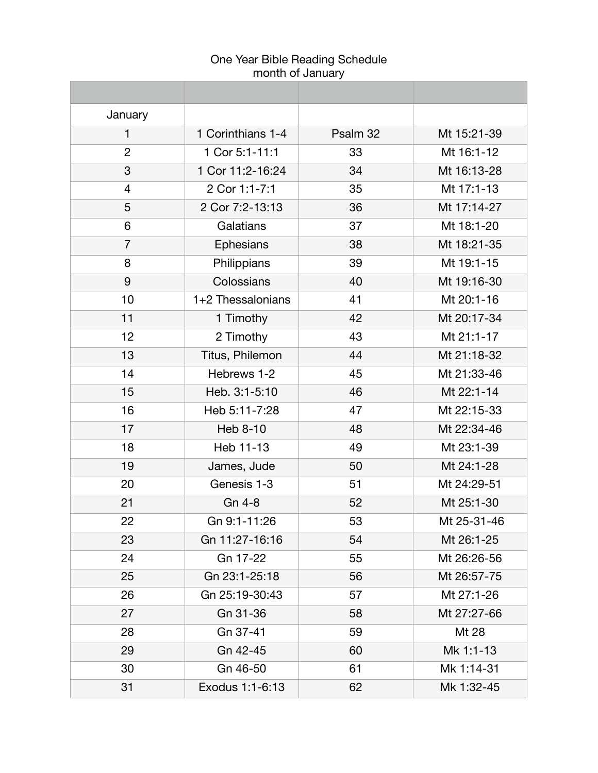| January        |                   |          |             |
|----------------|-------------------|----------|-------------|
| 1              | 1 Corinthians 1-4 | Psalm 32 | Mt 15:21-39 |
| $\overline{2}$ | 1 Cor 5:1-11:1    | 33       | Mt 16:1-12  |
| 3              | 1 Cor 11:2-16:24  | 34       | Mt 16:13-28 |
| 4              | 2 Cor 1:1-7:1     | 35       | Mt 17:1-13  |
| 5              | 2 Cor 7:2-13:13   | 36       | Mt 17:14-27 |
| 6              | Galatians         | 37       | Mt 18:1-20  |
| $\overline{7}$ | Ephesians         | 38       | Mt 18:21-35 |
| 8              | Philippians       | 39       | Mt 19:1-15  |
| 9              | Colossians        | 40       | Mt 19:16-30 |
| 10             | 1+2 Thessalonians | 41       | Mt 20:1-16  |
| 11             | 1 Timothy         | 42       | Mt 20:17-34 |
| 12             | 2 Timothy         | 43       | Mt 21:1-17  |
| 13             | Titus, Philemon   | 44       | Mt 21:18-32 |
| 14             | Hebrews 1-2       | 45       | Mt 21:33-46 |
| 15             | Heb. 3:1-5:10     | 46       | Mt 22:1-14  |
| 16             | Heb 5:11-7:28     | 47       | Mt 22:15-33 |
| 17             | Heb 8-10          | 48       | Mt 22:34-46 |
| 18             | Heb 11-13         | 49       | Mt 23:1-39  |
| 19             | James, Jude       | 50       | Mt 24:1-28  |
| 20             | Genesis 1-3       | 51       | Mt 24:29-51 |
| 21             | Gn 4-8            | 52       | Mt 25:1-30  |
| 22             | Gn 9:1-11:26      | 53       | Mt 25-31-46 |
| 23             | Gn 11:27-16:16    | 54       | Mt 26:1-25  |
| 24             | Gn 17-22          | 55       | Mt 26:26-56 |
| 25             | Gn 23:1-25:18     | 56       | Mt 26:57-75 |
| 26             | Gn 25:19-30:43    | 57       | Mt 27:1-26  |
| 27             | Gn 31-36          | 58       | Mt 27:27-66 |
| 28             | Gn 37-41          | 59       | Mt 28       |
| 29             | Gn 42-45          | 60       | Mk 1:1-13   |
| 30             | Gn 46-50          | 61       | Mk 1:14-31  |
| 31             | Exodus 1:1-6:13   | 62       | Mk 1:32-45  |

# One Year Bible Reading Schedule month of January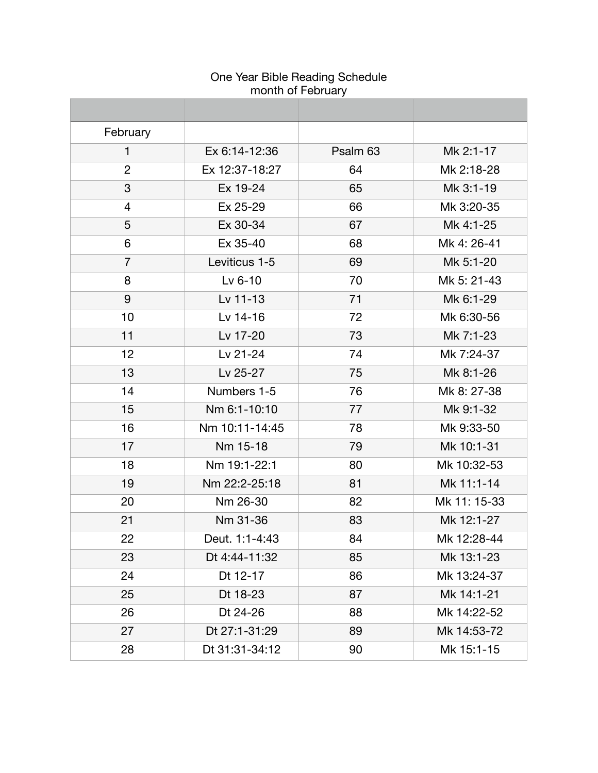| February       |                |          |              |
|----------------|----------------|----------|--------------|
| $\mathbf{1}$   | Ex 6:14-12:36  | Psalm 63 | Mk 2:1-17    |
| $\overline{2}$ | Ex 12:37-18:27 | 64       | Mk 2:18-28   |
| 3              | Ex 19-24       | 65       | Mk 3:1-19    |
| 4              | Ex 25-29       | 66       | Mk 3:20-35   |
| 5              | Ex 30-34       | 67       | Mk 4:1-25    |
| 6              | Ex 35-40       | 68       | Mk 4: 26-41  |
| $\overline{7}$ | Leviticus 1-5  | 69       | Mk 5:1-20    |
| 8              | Lv $6-10$      | 70       | Mk 5: 21-43  |
| 9              | Lv 11-13       | 71       | Mk 6:1-29    |
| 10             | Lv 14-16       | 72       | Mk 6:30-56   |
| 11             | Lv 17-20       | 73       | Mk 7:1-23    |
| 12             | Lv 21-24       | 74       | Mk 7:24-37   |
| 13             | Lv 25-27       | 75       | Mk 8:1-26    |
| 14             | Numbers 1-5    | 76       | Mk 8: 27-38  |
| 15             | Nm 6:1-10:10   | 77       | Mk 9:1-32    |
| 16             | Nm 10:11-14:45 | 78       | Mk 9:33-50   |
| 17             | Nm 15-18       | 79       | Mk 10:1-31   |
| 18             | Nm 19:1-22:1   | 80       | Mk 10:32-53  |
| 19             | Nm 22:2-25:18  | 81       | Mk 11:1-14   |
| 20             | Nm 26-30       | 82       | Mk 11: 15-33 |
| 21             | Nm 31-36       | 83       | Mk 12:1-27   |
| 22             | Deut. 1:1-4:43 | 84       | Mk 12:28-44  |
| 23             | Dt 4:44-11:32  | 85       | Mk 13:1-23   |
| 24             | Dt 12-17       | 86       | Mk 13:24-37  |
| 25             | Dt 18-23       | 87       | Mk 14:1-21   |
| 26             | Dt 24-26       | 88       | Mk 14:22-52  |
| 27             | Dt 27:1-31:29  | 89       | Mk 14:53-72  |
| 28             | Dt 31:31-34:12 | 90       | Mk 15:1-15   |

# One Year Bible Reading Schedule month of February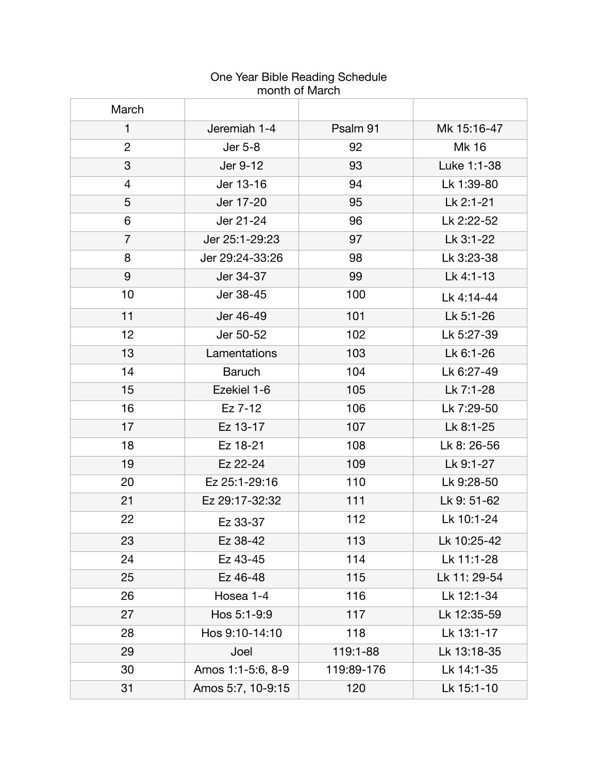| March          |                   |            |              |
|----------------|-------------------|------------|--------------|
| $\mathbf{1}$   | Jeremiah 1-4      | Psalm 91   | Mk 15:16-47  |
| $\overline{2}$ | Jer 5-8           | 92         | Mk 16        |
| 3              | Jer 9-12          | 93         | Luke 1:1-38  |
| 4              | Jer 13-16         | 94         | Lk 1:39-80   |
| 5              | Jer 17-20         | 95         | Lk 2:1-21    |
| 6              | Jer 21-24         | 96         | Lk 2:22-52   |
| $\overline{7}$ | Jer 25:1-29:23    | 97         | Lk 3:1-22    |
| 8              | Jer 29:24-33:26   | 98         | Lk 3:23-38   |
| 9              | Jer 34-37         | 99         | Lk 4:1-13    |
| 10             | Jer 38-45         | 100        | Lk 4:14-44   |
| 11             | Jer 46-49         | 101        | Lk 5:1-26    |
| 12             | Jer 50-52         | 102        | Lk 5:27-39   |
| 13             | Lamentations      | 103        | Lk 6:1-26    |
| 14             | <b>Baruch</b>     | 104        | Lk 6:27-49   |
| 15             | Ezekiel 1-6       | 105        | Lk 7:1-28    |
| 16             | Ez 7-12           | 106        | Lk 7:29-50   |
| 17             | Ez 13-17          | 107        | Lk 8:1-25    |
| 18             | Ez 18-21          | 108        | Lk 8: 26-56  |
| 19             | Ez 22-24          | 109        | Lk 9:1-27    |
| 20             | Ez 25:1-29:16     | 110        | Lk 9:28-50   |
| 21             | Ez 29:17-32:32    | 111        | Lk 9: 51-62  |
| 22             | Ez 33-37          | 112        | Lk 10:1-24   |
| 23             | Ez 38-42          | 113        | Lk 10:25-42  |
| 24             | Ez 43-45          | 114        | Lk 11:1-28   |
| 25             | Ez 46-48          | 115        | Lk 11: 29-54 |
| 26             | Hosea 1-4         | 116        | Lk 12:1-34   |
| 27             | Hos 5:1-9:9       | 117        | Lk 12:35-59  |
| 28             | Hos 9:10-14:10    | 118        | Lk 13:1-17   |
| 29             | Joel              | 119:1-88   | Lk 13:18-35  |
| 30             | Amos 1:1-5:6, 8-9 | 119:89-176 | Lk 14:1-35   |
| 31             | Amos 5:7, 10-9:15 | 120        | Lk 15:1-10   |

#### One Year Bible Reading Schedule month of March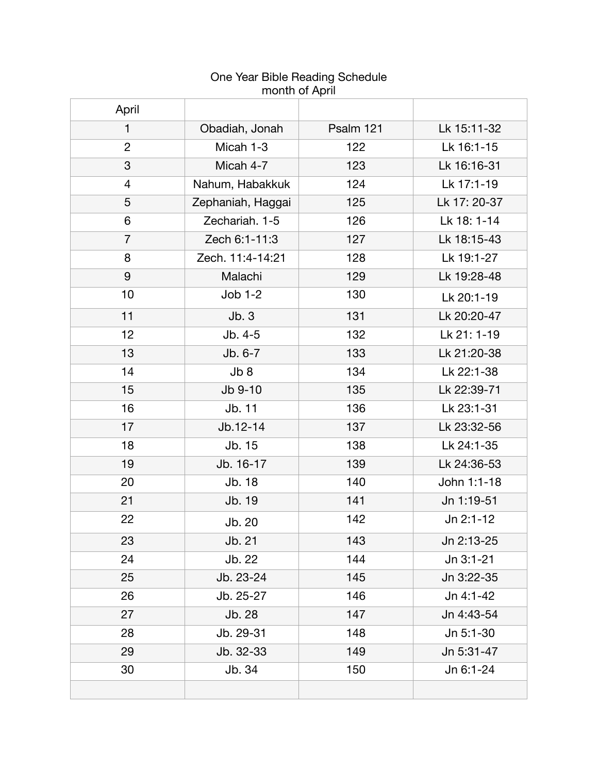| April          |                   |           |              |
|----------------|-------------------|-----------|--------------|
| $\mathbf{1}$   | Obadiah, Jonah    | Psalm 121 | Lk 15:11-32  |
| $\overline{2}$ | Micah 1-3         | 122       | Lk 16:1-15   |
| 3              | Micah 4-7         | 123       | Lk 16:16-31  |
| 4              | Nahum, Habakkuk   | 124       | Lk 17:1-19   |
| 5              | Zephaniah, Haggai | 125       | Lk 17: 20-37 |
| 6              | Zechariah. 1-5    | 126       | Lk 18: 1-14  |
| $\overline{7}$ | Zech 6:1-11:3     | 127       | Lk 18:15-43  |
| 8              | Zech. 11:4-14:21  | 128       | Lk 19:1-27   |
| 9              | Malachi           | 129       | Lk 19:28-48  |
| 10             | $Job 1-2$         | 130       | Lk 20:1-19   |
| 11             | Jb.3              | 131       | Lk 20:20-47  |
| 12             | Jb. 4-5           | 132       | Lk 21: 1-19  |
| 13             | Jb. 6-7           | 133       | Lk 21:20-38  |
| 14             | Jb8               | 134       | Lk 22:1-38   |
| 15             | Jb 9-10           | 135       | Lk 22:39-71  |
| 16             | Jb. 11            | 136       | Lk 23:1-31   |
| 17             | Jb.12-14          | 137       | Lk 23:32-56  |
| 18             | Jb. 15            | 138       | Lk 24:1-35   |
| 19             | Jb. 16-17         | 139       | Lk 24:36-53  |
| 20             | Jb. 18            | 140       | John 1:1-18  |
| 21             | Jb. 19            | 141       | Jn 1:19-51   |
| 22             | Jb. 20            | 142       | Jn 2:1-12    |
| 23             | Jb. 21            | 143       | Jn 2:13-25   |
| 24             | Jb. 22            | 144       | Jn 3:1-21    |
| 25             | Jb. 23-24         | 145       | Jn 3:22-35   |
| 26             | Jb. 25-27         | 146       | Jn 4:1-42    |
| 27             | Jb. 28            | 147       | Jn 4:43-54   |
| 28             | Jb. 29-31         | 148       | Jn 5:1-30    |
| 29             | Jb. 32-33         | 149       | Jn 5:31-47   |
| 30             | Jb. 34            | 150       | Jn 6:1-24    |
|                |                   |           |              |

## One Year Bible Reading Schedule month of April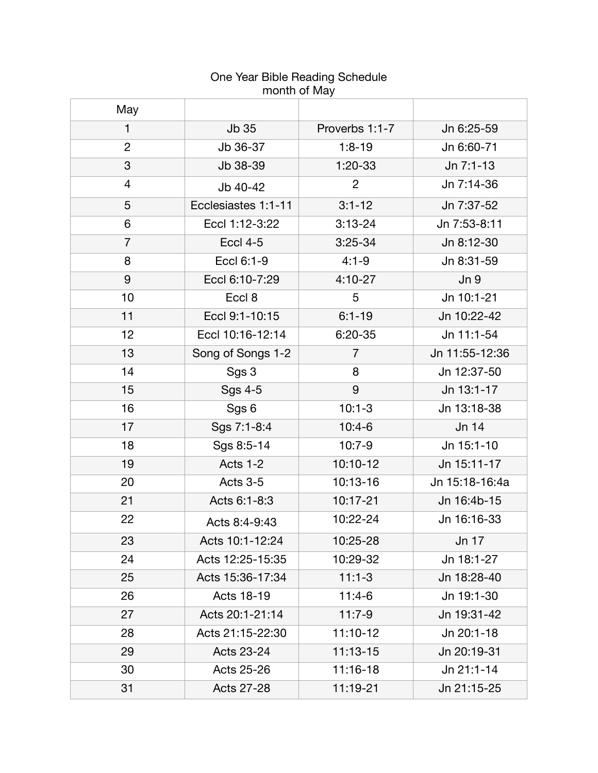| 11101101101110101 |                     |                |                 |
|-------------------|---------------------|----------------|-----------------|
| May               |                     |                |                 |
| 1                 | Jb 35               | Proverbs 1:1-7 | Jn 6:25-59      |
| $\overline{2}$    | Jb 36-37            | $1:8-19$       | Jn 6:60-71      |
| 3                 | Jb 38-39            | $1:20-33$      | Jn 7:1-13       |
| 4                 | Jb 40-42            | $\overline{2}$ | Jn 7:14-36      |
| 5                 | Ecclesiastes 1:1-11 | $3:1 - 12$     | Jn 7:37-52      |
| 6                 | Eccl 1:12-3:22      | $3:13-24$      | Jn 7:53-8:11    |
| $\overline{7}$    | <b>Eccl 4-5</b>     | $3:25-34$      | Jn 8:12-30      |
| 8                 | Eccl 6:1-9          | $4:1 - 9$      | Jn 8:31-59      |
| 9                 | Eccl 6:10-7:29      | $4:10-27$      | Jn <sub>9</sub> |
| 10                | Eccl 8              | 5              | Jn 10:1-21      |
| 11                | Eccl 9:1-10:15      | $6:1 - 19$     | Jn 10:22-42     |
| 12                | Eccl 10:16-12:14    | $6:20-35$      | Jn 11:1-54      |
| 13                | Song of Songs 1-2   | $\overline{7}$ | Jn 11:55-12:36  |
| 14                | Sgs 3               | 8              | Jn 12:37-50     |
| 15                | Sgs 4-5             | 9              | Jn 13:1-17      |
| 16                | Sgs 6               | $10:1 - 3$     | Jn 13:18-38     |
| 17                | Sgs 7:1-8:4         | $10:4-6$       | Jn 14           |
| 18                | Sgs 8:5-14          | $10:7-9$       | Jn 15:1-10      |
| 19                | Acts 1-2            | 10:10-12       | Jn 15:11-17     |
| 20                | Acts 3-5            | 10:13-16       | Jn 15:18-16:4a  |
| 21                | Acts 6:1-8:3        | 10:17-21       | Jn 16:4b-15     |
| 22                | Acts 8:4-9:43       | 10:22-24       | Jn 16:16-33     |
| 23                | Acts 10:1-12:24     | 10:25-28       | Jn 17           |
| 24                | Acts 12:25-15:35    | 10:29-32       | Jn 18:1-27      |
| 25                | Acts 15:36-17:34    | $11:1-3$       | Jn 18:28-40     |
| 26                | Acts 18-19          | $11:4-6$       | Jn 19:1-30      |
| 27                | Acts 20:1-21:14     | $11:7-9$       | Jn 19:31-42     |
| 28                | Acts 21:15-22:30    | 11:10-12       | Jn 20:1-18      |
| 29                | Acts 23-24          | 11:13-15       | Jn 20:19-31     |
| 30                | Acts 25-26          | 11:16-18       | Jn 21:1-14      |
| 31                | <b>Acts 27-28</b>   | 11:19-21       | Jn 21:15-25     |

# One Year Bible Reading Schedule month of May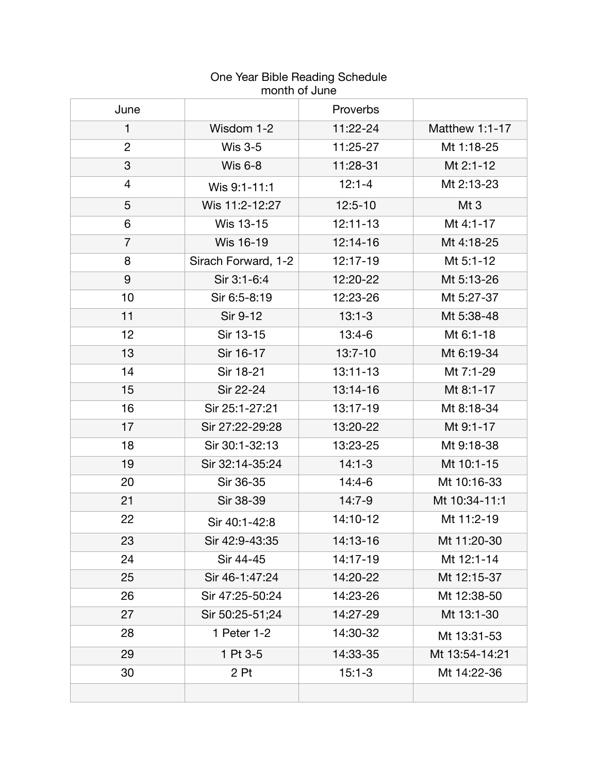| June           |                     | Proverbs     |                |  |
|----------------|---------------------|--------------|----------------|--|
| 1              | Wisdom 1-2          | 11:22-24     | Matthew 1:1-17 |  |
| $\overline{2}$ | <b>Wis 3-5</b>      | 11:25-27     | Mt 1:18-25     |  |
| 3              | <b>Wis 6-8</b>      | 11:28-31     | Mt 2:1-12      |  |
| 4              | Wis 9:1-11:1        | $12:1 - 4$   | Mt 2:13-23     |  |
| 5              | Wis 11:2-12:27      | $12:5 - 10$  | Mt3            |  |
| 6              | Wis 13-15           | 12:11-13     | Mt 4:1-17      |  |
| $\overline{7}$ | Wis 16-19           | 12:14-16     | Mt 4:18-25     |  |
| 8              | Sirach Forward, 1-2 | 12:17-19     | Mt 5:1-12      |  |
| 9              | Sir 3:1-6:4         | 12:20-22     | Mt 5:13-26     |  |
| 10             | Sir 6:5-8:19        | 12:23-26     | Mt 5:27-37     |  |
| 11             | Sir 9-12            | $13:1 - 3$   | Mt 5:38-48     |  |
| 12             | Sir 13-15           | $13:4-6$     | Mt 6:1-18      |  |
| 13             | Sir 16-17           | $13:7-10$    | Mt 6:19-34     |  |
| 14             | Sir 18-21           | $13:11 - 13$ | Mt 7:1-29      |  |
| 15             | Sir 22-24           | 13:14-16     | Mt 8:1-17      |  |
| 16             | Sir 25:1-27:21      | 13:17-19     | Mt 8:18-34     |  |
| 17             | Sir 27:22-29:28     | 13:20-22     | Mt 9:1-17      |  |
| 18             | Sir 30:1-32:13      | 13:23-25     | Mt 9:18-38     |  |
| 19             | Sir 32:14-35:24     | $14:1 - 3$   | Mt 10:1-15     |  |
| 20             | Sir 36-35           | $14:4-6$     | Mt 10:16-33    |  |
| 21             | Sir 38-39           | $14:7-9$     | Mt 10:34-11:1  |  |
| 22             | Sir 40:1-42:8       | 14:10-12     | Mt 11:2-19     |  |
| 23             | Sir 42:9-43:35      | 14:13-16     | Mt 11:20-30    |  |
| 24             | Sir 44-45           | 14:17-19     | Mt 12:1-14     |  |
| 25             | Sir 46-1:47:24      | 14:20-22     | Mt 12:15-37    |  |
| 26             | Sir 47:25-50:24     | 14:23-26     | Mt 12:38-50    |  |
| 27             | Sir 50:25-51;24     | 14:27-29     | Mt 13:1-30     |  |
| 28             | 1 Peter 1-2         | 14:30-32     | Mt 13:31-53    |  |
| 29             | 1 Pt 3-5            | 14:33-35     | Mt 13:54-14:21 |  |
| 30             | 2 Pt                | $15:1 - 3$   | Mt 14:22-36    |  |
|                |                     |              |                |  |

# One Year Bible Reading Schedule month of June